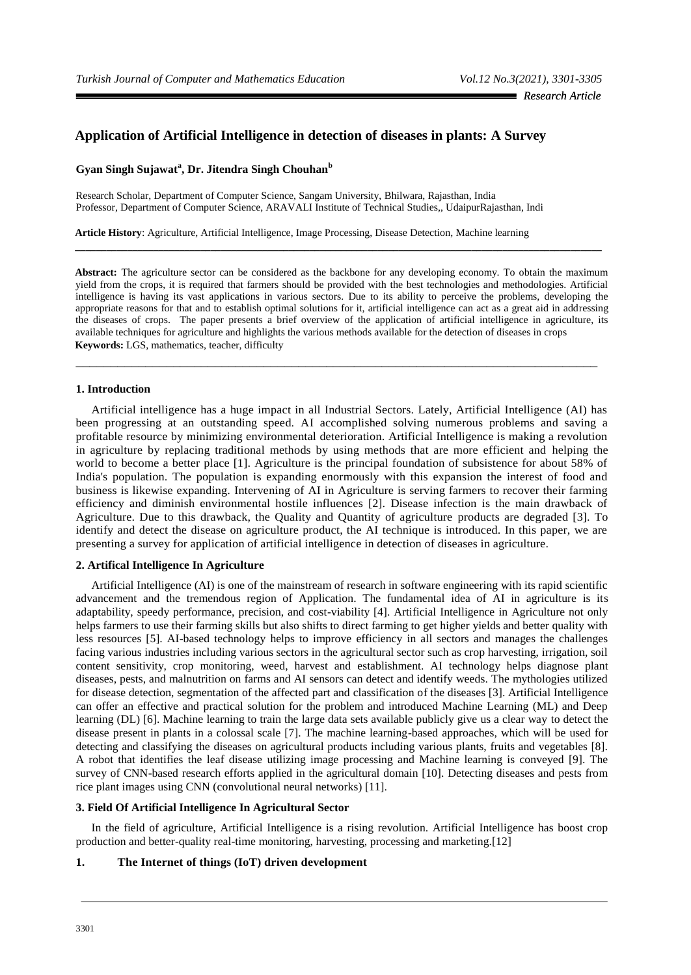# **Application of Artificial Intelligence in detection of diseases in plants: A Survey**

### **Gyan Singh Sujawat<sup>a</sup> , Dr. Jitendra Singh Chouhan<sup>b</sup>**

Research Scholar, Department of Computer Science, Sangam University, Bhilwara, Rajasthan, India Professor, Department of Computer Science, ARAVALI Institute of Technical Studies,, UdaipurRajasthan, Indi

**Article History**: Agriculture, Artificial Intelligence, Image Processing, Disease Detection, Machine learning

**Abstract:** The agriculture sector can be considered as the backbone for any developing economy. To obtain the maximum yield from the crops, it is required that farmers should be provided with the best technologies and methodologies. Artificial intelligence is having its vast applications in various sectors. Due to its ability to perceive the problems, developing the appropriate reasons for that and to establish optimal solutions for it, artificial intelligence can act as a great aid in addressing the diseases of crops. The paper presents a brief overview of the application of artificial intelligence in agriculture, its available techniques for agriculture and highlights the various methods available for the detection of diseases in crops **Keywords:** LGS, mathematics, teacher, difficulty

\_\_\_\_\_\_\_\_\_\_\_\_\_\_\_\_\_\_\_\_\_\_\_\_\_\_\_\_\_\_\_\_\_\_\_\_\_\_\_\_\_\_\_\_\_\_\_\_\_\_\_\_\_\_\_\_\_\_\_\_\_\_\_\_\_\_\_\_\_\_\_\_\_\_\_

**\_\_\_\_\_\_\_\_\_\_\_\_\_\_\_\_\_\_\_\_\_\_\_\_\_\_\_\_\_\_\_\_\_\_\_\_\_\_\_\_\_\_\_\_\_\_\_\_\_\_\_\_\_\_\_\_\_\_\_\_\_\_\_\_\_\_\_\_\_\_\_\_\_\_\_\_\_\_\_\_\_\_\_\_\_\_\_\_\_\_\_\_\_\_\_\_\_\_\_\_\_**

#### **1. Introduction**

Artificial intelligence has a huge impact in all Industrial Sectors. Lately, Artificial Intelligence (AI) has been progressing at an outstanding speed. AI accomplished solving numerous problems and saving a profitable resource by minimizing environmental deterioration. Artificial Intelligence is making a revolution in agriculture by replacing traditional methods by using methods that are more efficient and helping the world to become a better place [1]. Agriculture is the principal foundation of subsistence for about 58% of India's population. The population is expanding enormously with this expansion the interest of food and business is likewise expanding. Intervening of AI in Agriculture is serving farmers to recover their farming efficiency and diminish environmental hostile influences [2]. Disease infection is the main drawback of Agriculture. Due to this drawback, the Quality and Quantity of agriculture products are degraded [3]. To identify and detect the disease on agriculture product, the AI technique is introduced. In this paper, we are presenting a survey for application of artificial intelligence in detection of diseases in agriculture.

#### **2. Artifical Intelligence In Agriculture**

Artificial Intelligence (AI) is one of the mainstream of research in software engineering with its rapid scientific advancement and the tremendous region of Application. The fundamental idea of AI in agriculture is its adaptability, speedy performance, precision, and cost-viability [4]. Artificial Intelligence in Agriculture not only helps farmers to use their farming skills but also shifts to direct farming to get higher yields and better quality with less resources [5]. AI-based technology helps to improve efficiency in all sectors and manages the challenges facing various industries including various sectors in the agricultural sector such as crop harvesting, irrigation, soil content sensitivity, crop monitoring, weed, harvest and establishment. AI technology helps diagnose plant diseases, pests, and malnutrition on farms and AI sensors can detect and identify weeds. The mythologies utilized for disease detection, segmentation of the affected part and classification of the diseases [3]. Artificial Intelligence can offer an effective and practical solution for the problem and introduced Machine Learning (ML) and Deep learning (DL) [6]. Machine learning to train the large data sets available publicly give us a clear way to detect the disease present in plants in a colossal scale [7]. The machine learning-based approaches, which will be used for detecting and classifying the diseases on agricultural products including various plants, fruits and vegetables [8]. A robot that identifies the leaf disease utilizing image processing and Machine learning is conveyed [9]. The survey of CNN-based research efforts applied in the agricultural domain [10]. Detecting diseases and pests from rice plant images using CNN (convolutional neural networks) [11].

#### **3. Field Of Artificial Intelligence In Agricultural Sector**

In the field of agriculture, Artificial Intelligence is a rising revolution. Artificial Intelligence has boost crop production and better-quality real-time monitoring, harvesting, processing and marketing.[12]

### **1. The Internet of things (IoT) driven development**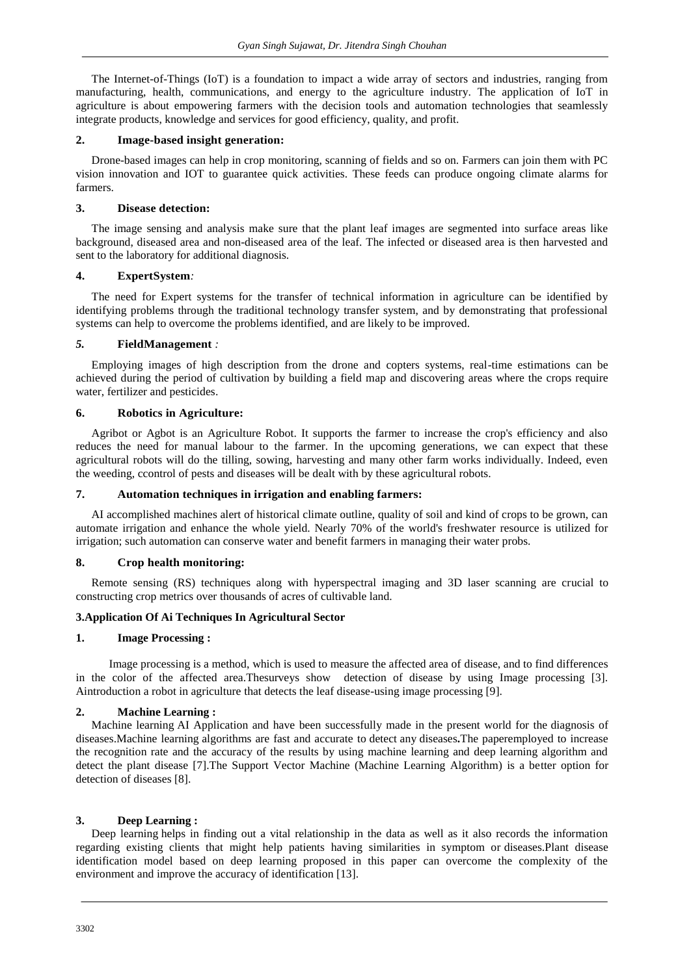The Internet-of-Things (IoT) is a foundation to impact a wide array of sectors and industries, ranging from manufacturing, health, communications, and energy to the agriculture industry. The application of IoT in agriculture is about empowering farmers with the decision tools and automation technologies that seamlessly integrate products, knowledge and services for good efficiency, quality, and profit.

#### **2. Image-based insight generation:**

Drone-based images can help in crop monitoring, scanning of fields and so on. Farmers can join them with PC vision innovation and IOT to guarantee quick activities. These feeds can produce ongoing climate alarms for farmers.

#### **3. Disease detection:**

The image sensing and analysis make sure that the plant leaf images are segmented into surface areas like background, diseased area and non-diseased area of the leaf. The infected or diseased area is then harvested and sent to the laboratory for additional diagnosis.

### **4. ExpertSystem***:*

The need for Expert systems for the transfer of technical information in agriculture can be identified by identifying problems through the traditional technology transfer system, and by demonstrating that professional systems can help to overcome the problems identified, and are likely to be improved.

#### *5.* **FieldManagement** *:*

Employing images of high description from the drone and copters systems, real-time estimations can be achieved during the period of cultivation by building a field map and discovering areas where the crops require water, fertilizer and pesticides.

#### **6. Robotics in Agriculture:**

Agribot or Agbot is an Agriculture Robot. It supports the farmer to increase the crop's efficiency and also reduces the need for manual labour to the farmer. In the upcoming generations, we can expect that these agricultural robots will do the tilling, sowing, harvesting and many other farm works individually. Indeed, even the weeding, ccontrol of pests and diseases will be dealt with by these agricultural robots.

### **7. Automation techniques in irrigation and enabling farmers:**

AI accomplished machines alert of historical climate outline, quality of soil and kind of crops to be grown, can automate irrigation and enhance the whole yield. Nearly 70% of the world's freshwater resource is utilized for irrigation; such automation can conserve water and benefit farmers in managing their water probs.

### **8. Crop health monitoring:**

Remote sensing (RS) techniques along with hyperspectral imaging and 3D laser scanning are crucial to constructing crop metrics over thousands of acres of cultivable land.

### **3.Application Of Ai Techniques In Agricultural Sector**

#### **1. Image Processing :**

 Image processing is a method, which is used to measure the affected area of disease, and to find differences in the color of the affected area.Thesurveys show detection of disease by using Image processing [3]. Aintroduction a robot in agriculture that detects the leaf disease-using image processing [9].

### **2. Machine Learning :**

Machine learning AI Application and have been successfully made in the present world for the diagnosis of diseases.Machine learning algorithms are fast and accurate to detect any diseases**.**The paperemployed to increase the recognition rate and the accuracy of the results by using machine learning and deep learning algorithm and detect the plant disease [7].The Support Vector Machine (Machine Learning Algorithm) is a better option for detection of diseases [8].

#### **3. Deep Learning :**

Deep learning helps in finding out a vital relationship in the data as well as it also records the information regarding existing clients that might help patients having similarities in symptom or diseases.Plant disease identification model based on deep learning proposed in this paper can overcome the complexity of the environment and improve the accuracy of identification [13].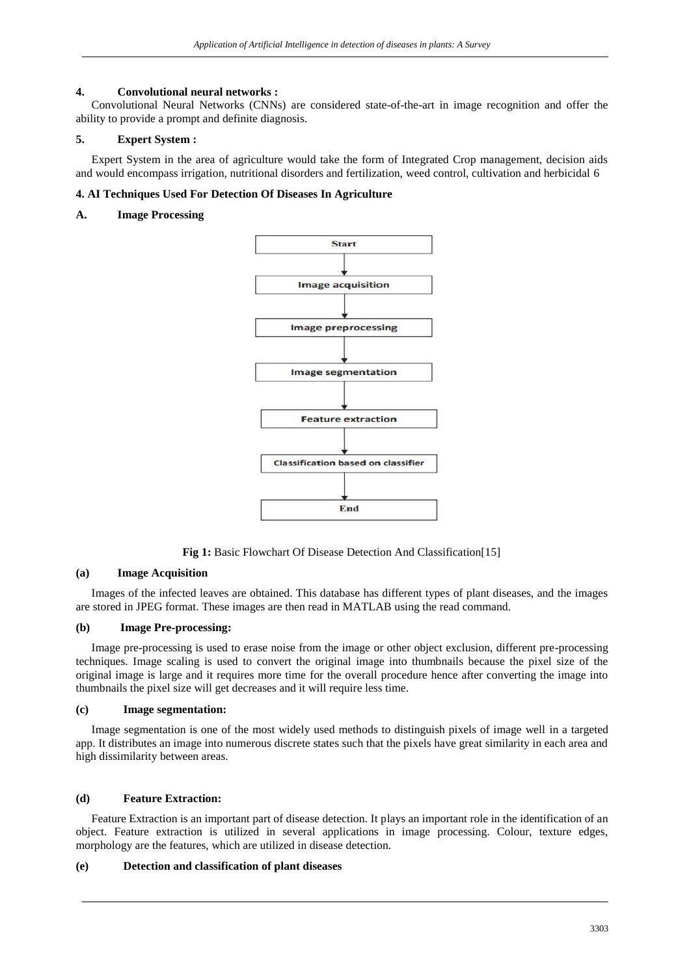### **4. Convolutional neural networks :**

Convolutional Neural Networks (CNNs) are considered state-of-the-art in image recognition and offer the ability to provide a prompt and definite diagnosis.

## **5. Expert System :**

Expert System in the area of agriculture would take the form of Integrated Crop management, decision aids and would encompass irrigation, nutritional disorders and fertilization, weed control, cultivation and herbicidal 6

### **4. AI Techniques Used For Detection Of Diseases In Agriculture**

### **A. Image Processing**



**Fig 1:** Basic Flowchart Of Disease Detection And Classification[15]

### **(a) Image Acquisition**

Images of the infected leaves are obtained. This database has different types of plant diseases, and the images are stored in JPEG format. These images are then read in MATLAB using the read command.

## **(b) Image Pre-processing:**

Image pre-processing is used to erase noise from the image or other object exclusion, different pre-processing techniques. Image scaling is used to convert the original image into thumbnails because the pixel size of the original image is large and it requires more time for the overall procedure hence after converting the image into thumbnails the pixel size will get decreases and it will require less time.

## **(c) Image segmentation:**

Image segmentation is one of the most widely used methods to distinguish pixels of image well in a targeted app. It distributes an image into numerous discrete states such that the pixels have great similarity in each area and high dissimilarity between areas.

### **(d) Feature Extraction:**

Feature Extraction is an important part of disease detection. It plays an important role in the identification of an object. Feature extraction is utilized in several applications in image processing. Colour, texture edges, morphology are the features, which are utilized in disease detection.

### **(e) Detection and classification of plant diseases**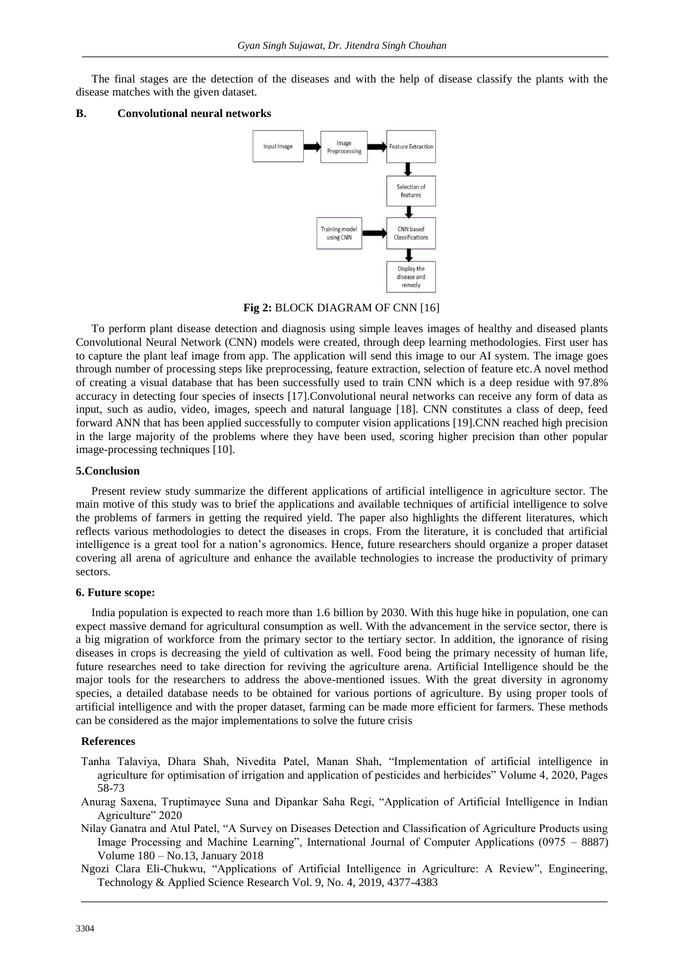The final stages are the detection of the diseases and with the help of disease classify the plants with the disease matches with the given dataset.

#### **B. Convolutional neural networks**



#### **Fig 2:** BLOCK DIAGRAM OF CNN [16]

To perform plant disease detection and diagnosis using simple leaves images of healthy and diseased plants Convolutional Neural Network (CNN) models were created, through deep learning methodologies. First user has to capture the plant leaf image from app. The application will send this image to our AI system. The image goes through number of processing steps like preprocessing, feature extraction, selection of feature etc.A novel method of creating a visual database that has been successfully used to train CNN which is a deep residue with 97.8% accuracy in detecting four species of insects [17].Convolutional neural networks can receive any form of data as input, such as audio, video, images, speech and natural language [18]. CNN constitutes a class of deep, feed forward ANN that has been applied successfully to computer vision applications [19].CNN reached high precision in the large majority of the problems where they have been used, scoring higher precision than other popular image-processing techniques [10].

#### **5.Conclusion**

Present review study summarize the different applications of artificial intelligence in agriculture sector. The main motive of this study was to brief the applications and available techniques of artificial intelligence to solve the problems of farmers in getting the required yield. The paper also highlights the different literatures, which reflects various methodologies to detect the diseases in crops. From the literature, it is concluded that artificial intelligence is a great tool for a nation's agronomics. Hence, future researchers should organize a proper dataset covering all arena of agriculture and enhance the available technologies to increase the productivity of primary sectors.

#### **6. Future scope:**

India population is expected to reach more than 1.6 billion by 2030. With this huge hike in population, one can expect massive demand for agricultural consumption as well. With the advancement in the service sector, there is a big migration of workforce from the primary sector to the tertiary sector. In addition, the ignorance of rising diseases in crops is decreasing the yield of cultivation as well. Food being the primary necessity of human life, future researches need to take direction for reviving the agriculture arena. Artificial Intelligence should be the major tools for the researchers to address the above-mentioned issues. With the great diversity in agronomy species, a detailed database needs to be obtained for various portions of agriculture. By using proper tools of artificial intelligence and with the proper dataset, farming can be made more efficient for farmers. These methods can be considered as the major implementations to solve the future crisis

#### **References**

- Tanha Talaviya, Dhara Shah, Nivedita Patel, Manan Shah, "Implementation of artificial intelligence in agriculture for optimisation of irrigation and application of pesticides and herbicides" Volume 4, 2020, Pages 58-73
- Anurag Saxena, Truptimayee Suna and Dipankar Saha Regi, "Application of Artificial Intelligence in Indian Agriculture" 2020
- Nilay Ganatra and Atul Patel, "A Survey on Diseases Detection and Classification of Agriculture Products using Image Processing and Machine Learning", International Journal of Computer Applications (0975 – 8887) Volume 180 – No.13, January 2018
- Ngozi Clara Eli-Chukwu, "Applications of Artificial Intelligence in Agriculture: A Review", Engineering, Technology & Applied Science Research Vol. 9, No. 4, 2019, 4377-4383